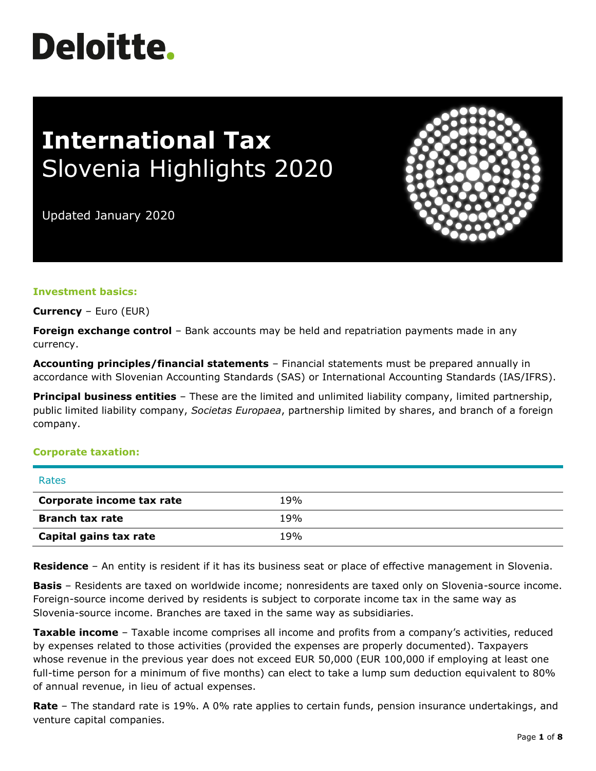# **Deloitte.**

# **International Tax** Slovenia Highlights 2020

Updated January 2020



**Currency** – Euro (EUR)

**Foreign exchange control** – Bank accounts may be held and repatriation payments made in any currency.

**Accounting principles/financial statements** – Financial statements must be prepared annually in accordance with Slovenian Accounting Standards (SAS) or International Accounting Standards (IAS/IFRS).

**Principal business entities** – These are the limited and unlimited liability company, limited partnership, public limited liability company, *Societas Europaea*, partnership limited by shares, and branch of a foreign company.

#### **Corporate taxation:**

| Rates                     |     |
|---------------------------|-----|
| Corporate income tax rate | 19% |
| <b>Branch tax rate</b>    | 19% |
| Capital gains tax rate    | 19% |

**Residence** – An entity is resident if it has its business seat or place of effective management in Slovenia.

**Basis** – Residents are taxed on worldwide income; nonresidents are taxed only on Slovenia-source income. Foreign-source income derived by residents is subject to corporate income tax in the same way as Slovenia-source income. Branches are taxed in the same way as subsidiaries.

**Taxable income** – Taxable income comprises all income and profits from a company's activities, reduced by expenses related to those activities (provided the expenses are properly documented). Taxpayers whose revenue in the previous year does not exceed EUR 50,000 (EUR 100,000 if employing at least one full-time person for a minimum of five months) can elect to take a lump sum deduction equivalent to 80% of annual revenue, in lieu of actual expenses.

**Rate** – The standard rate is 19%. A 0% rate applies to certain funds, pension insurance undertakings, and venture capital companies.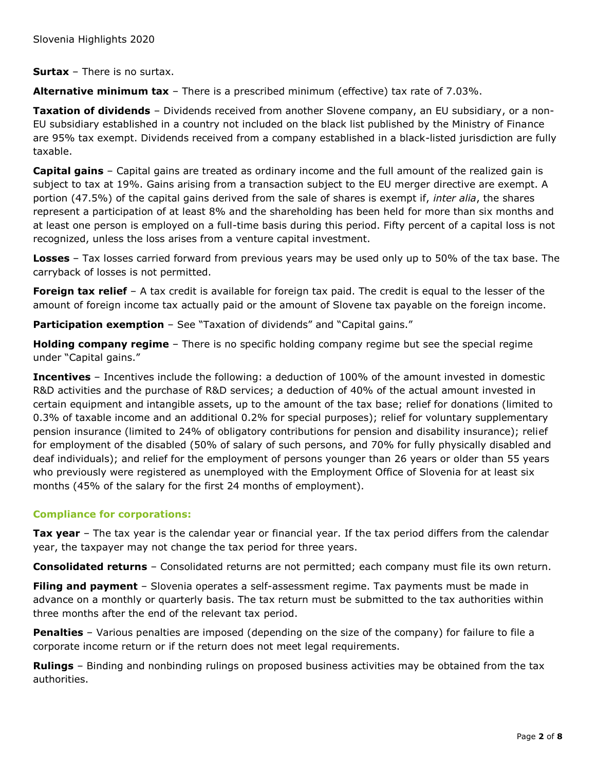**Surtax** – There is no surtax.

**Alternative minimum tax** – There is a prescribed minimum (effective) tax rate of 7.03%.

**Taxation of dividends** – Dividends received from another Slovene company, an EU subsidiary, or a non-EU subsidiary established in a country not included on the black list published by the Ministry of Finance are 95% tax exempt. Dividends received from a company established in a black-listed jurisdiction are fully taxable.

**Capital gains** – Capital gains are treated as ordinary income and the full amount of the realized gain is subject to tax at 19%. Gains arising from a transaction subject to the EU merger directive are exempt. A portion (47.5%) of the capital gains derived from the sale of shares is exempt if, *inter alia*, the shares represent a participation of at least 8% and the shareholding has been held for more than six months and at least one person is employed on a full-time basis during this period. Fifty percent of a capital loss is not recognized, unless the loss arises from a venture capital investment.

**Losses** – Tax losses carried forward from previous years may be used only up to 50% of the tax base. The carryback of losses is not permitted.

**Foreign tax relief** – A tax credit is available for foreign tax paid. The credit is equal to the lesser of the amount of foreign income tax actually paid or the amount of Slovene tax payable on the foreign income.

**Participation exemption** – See "Taxation of dividends" and "Capital gains."

**Holding company regime** – There is no specific holding company regime but see the special regime under "Capital gains."

**Incentives** – Incentives include the following: a deduction of 100% of the amount invested in domestic R&D activities and the purchase of R&D services; a deduction of 40% of the actual amount invested in certain equipment and intangible assets, up to the amount of the tax base; relief for donations (limited to 0.3% of taxable income and an additional 0.2% for special purposes); relief for voluntary supplementary pension insurance (limited to 24% of obligatory contributions for pension and disability insurance); relief for employment of the disabled (50% of salary of such persons, and 70% for fully physically disabled and deaf individuals); and relief for the employment of persons younger than 26 years or older than 55 years who previously were registered as unemployed with the Employment Office of Slovenia for at least six months (45% of the salary for the first 24 months of employment).

# **Compliance for corporations:**

**Tax year** – The tax year is the calendar year or financial year. If the tax period differs from the calendar year, the taxpayer may not change the tax period for three years.

**Consolidated returns** – Consolidated returns are not permitted; each company must file its own return.

**Filing and payment** – Slovenia operates a self-assessment regime. Tax payments must be made in advance on a monthly or quarterly basis. The tax return must be submitted to the tax authorities within three months after the end of the relevant tax period.

**Penalties** – Various penalties are imposed (depending on the size of the company) for failure to file a corporate income return or if the return does not meet legal requirements.

**Rulings** – Binding and nonbinding rulings on proposed business activities may be obtained from the tax authorities.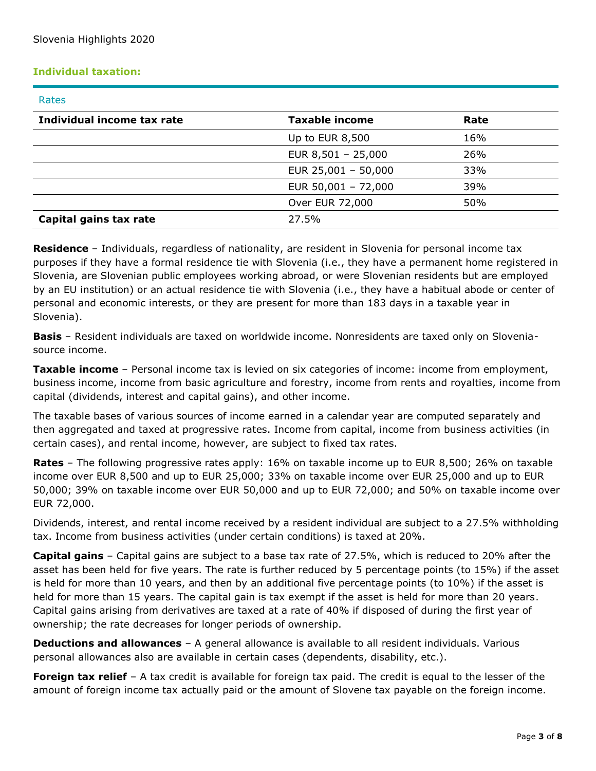# **Individual taxation:**

#### Rates

| Individual income tax rate | <b>Taxable income</b> | Rate |
|----------------------------|-----------------------|------|
|                            | Up to EUR 8,500       | 16%  |
|                            | EUR $8,501 - 25,000$  | 26%  |
|                            | EUR $25,001 - 50,000$ | 33%  |
|                            | EUR $50,001 - 72,000$ | 39%  |
|                            | Over EUR 72,000       | 50%  |
| Capital gains tax rate     | 27.5%                 |      |

**Residence** – Individuals, regardless of nationality, are resident in Slovenia for personal income tax purposes if they have a formal residence tie with Slovenia (i.e., they have a permanent home registered in Slovenia, are Slovenian public employees working abroad, or were Slovenian residents but are employed by an EU institution) or an actual residence tie with Slovenia (i.e., they have a habitual abode or center of personal and economic interests, or they are present for more than 183 days in a taxable year in Slovenia).

**Basis** – Resident individuals are taxed on worldwide income. Nonresidents are taxed only on Sloveniasource income.

**Taxable income** – Personal income tax is levied on six categories of income: income from employment, business income, income from basic agriculture and forestry, income from rents and royalties, income from capital (dividends, interest and capital gains), and other income.

The taxable bases of various sources of income earned in a calendar year are computed separately and then aggregated and taxed at progressive rates. Income from capital, income from business activities (in certain cases), and rental income, however, are subject to fixed tax rates.

**Rates** – The following progressive rates apply: 16% on taxable income up to EUR 8,500; 26% on taxable income over EUR 8,500 and up to EUR 25,000; 33% on taxable income over EUR 25,000 and up to EUR 50,000; 39% on taxable income over EUR 50,000 and up to EUR 72,000; and 50% on taxable income over EUR 72,000.

Dividends, interest, and rental income received by a resident individual are subject to a 27.5% withholding tax. Income from business activities (under certain conditions) is taxed at 20%.

**Capital gains** – Capital gains are subject to a base tax rate of 27.5%, which is reduced to 20% after the asset has been held for five years. The rate is further reduced by 5 percentage points (to 15%) if the asset is held for more than 10 years, and then by an additional five percentage points (to 10%) if the asset is held for more than 15 years. The capital gain is tax exempt if the asset is held for more than 20 years. Capital gains arising from derivatives are taxed at a rate of 40% if disposed of during the first year of ownership; the rate decreases for longer periods of ownership.

**Deductions and allowances** – A general allowance is available to all resident individuals. Various personal allowances also are available in certain cases (dependents, disability, etc.).

**Foreign tax relief** – A tax credit is available for foreign tax paid. The credit is equal to the lesser of the amount of foreign income tax actually paid or the amount of Slovene tax payable on the foreign income.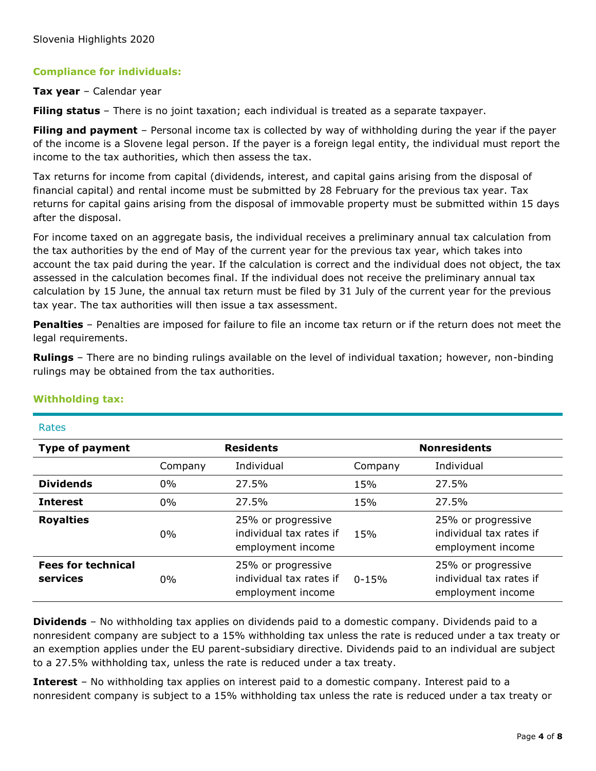# **Compliance for individuals:**

#### **Tax year** – Calendar year

**Filing status** – There is no joint taxation; each individual is treated as a separate taxpayer.

**Filing and payment** – Personal income tax is collected by way of withholding during the year if the payer of the income is a Slovene legal person. If the payer is a foreign legal entity, the individual must report the income to the tax authorities, which then assess the tax.

Tax returns for income from capital (dividends, interest, and capital gains arising from the disposal of financial capital) and rental income must be submitted by 28 February for the previous tax year. Tax returns for capital gains arising from the disposal of immovable property must be submitted within 15 days after the disposal.

For income taxed on an aggregate basis, the individual receives a preliminary annual tax calculation from the tax authorities by the end of May of the current year for the previous tax year, which takes into account the tax paid during the year. If the calculation is correct and the individual does not object, the tax assessed in the calculation becomes final. If the individual does not receive the preliminary annual tax calculation by 15 June, the annual tax return must be filed by 31 July of the current year for the previous tax year. The tax authorities will then issue a tax assessment.

**Penalties** – Penalties are imposed for failure to file an income tax return or if the return does not meet the legal requirements.

**Rulings** – There are no binding rulings available on the level of individual taxation; however, non-binding rulings may be obtained from the tax authorities.

| Rales                                 |                  |                                                                    |                     |                                                                    |
|---------------------------------------|------------------|--------------------------------------------------------------------|---------------------|--------------------------------------------------------------------|
| <b>Type of payment</b>                | <b>Residents</b> |                                                                    | <b>Nonresidents</b> |                                                                    |
|                                       | Company          | Individual                                                         | Company             | Individual                                                         |
| <b>Dividends</b>                      | 0%               | 27.5%                                                              | 15%                 | 27.5%                                                              |
| <b>Interest</b>                       | $0\%$            | 27.5%                                                              | 15%                 | 27.5%                                                              |
| <b>Royalties</b>                      | 0%               | 25% or progressive<br>individual tax rates if<br>employment income | 15%                 | 25% or progressive<br>individual tax rates if<br>employment income |
| <b>Fees for technical</b><br>services | 0%               | 25% or progressive<br>individual tax rates if<br>employment income | $0 - 15%$           | 25% or progressive<br>individual tax rates if<br>employment income |

#### **Withholding tax:**

 $D = + - -$ 

**Dividends** – No withholding tax applies on dividends paid to a domestic company. Dividends paid to a nonresident company are subject to a 15% withholding tax unless the rate is reduced under a tax treaty or an exemption applies under the EU parent-subsidiary directive. Dividends paid to an individual are subject to a 27.5% withholding tax, unless the rate is reduced under a tax treaty.

**Interest** – No withholding tax applies on interest paid to a domestic company. Interest paid to a nonresident company is subject to a 15% withholding tax unless the rate is reduced under a tax treaty or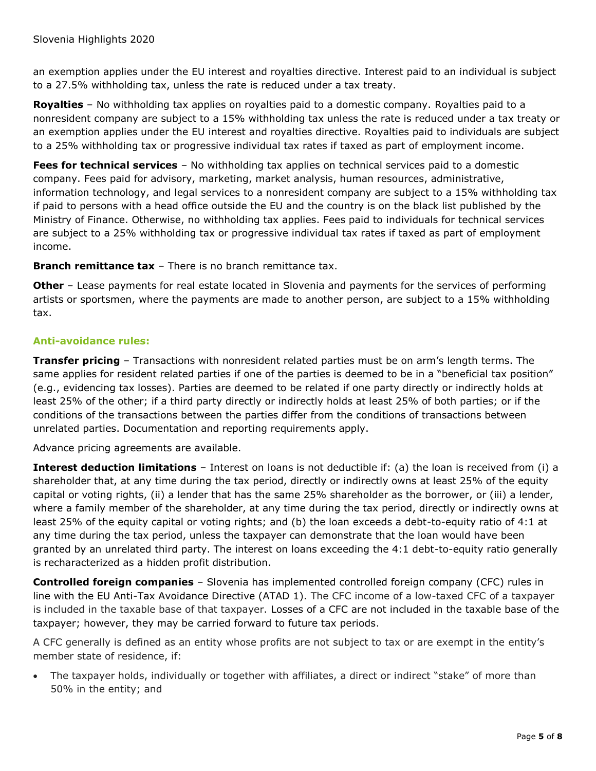an exemption applies under the EU interest and royalties directive. Interest paid to an individual is subject to a 27.5% withholding tax, unless the rate is reduced under a tax treaty.

**Royalties** – No withholding tax applies on royalties paid to a domestic company. Royalties paid to a nonresident company are subject to a 15% withholding tax unless the rate is reduced under a tax treaty or an exemption applies under the EU interest and royalties directive. Royalties paid to individuals are subject to a 25% withholding tax or progressive individual tax rates if taxed as part of employment income.

**Fees for technical services** – No withholding tax applies on technical services paid to a domestic company. Fees paid for advisory, marketing, market analysis, human resources, administrative, information technology, and legal services to a nonresident company are subject to a 15% withholding tax if paid to persons with a head office outside the EU and the country is on the black list published by the Ministry of Finance. Otherwise, no withholding tax applies. Fees paid to individuals for technical services are subject to a 25% withholding tax or progressive individual tax rates if taxed as part of employment income.

**Branch remittance tax** – There is no branch remittance tax.

**Other** – Lease payments for real estate located in Slovenia and payments for the services of performing artists or sportsmen, where the payments are made to another person, are subject to a 15% withholding tax.

# **Anti-avoidance rules:**

**Transfer pricing** – Transactions with nonresident related parties must be on arm's length terms. The same applies for resident related parties if one of the parties is deemed to be in a "beneficial tax position" (e.g., evidencing tax losses). Parties are deemed to be related if one party directly or indirectly holds at least 25% of the other; if a third party directly or indirectly holds at least 25% of both parties; or if the conditions of the transactions between the parties differ from the conditions of transactions between unrelated parties. Documentation and reporting requirements apply.

Advance pricing agreements are available.

**Interest deduction limitations** – Interest on loans is not deductible if: (a) the loan is received from (i) a shareholder that, at any time during the tax period, directly or indirectly owns at least 25% of the equity capital or voting rights, (ii) a lender that has the same 25% shareholder as the borrower, or (iii) a lender, where a family member of the shareholder, at any time during the tax period, directly or indirectly owns at least 25% of the equity capital or voting rights; and (b) the loan exceeds a debt-to-equity ratio of 4:1 at any time during the tax period, unless the taxpayer can demonstrate that the loan would have been granted by an unrelated third party. The interest on loans exceeding the 4:1 debt-to-equity ratio generally is recharacterized as a hidden profit distribution.

**Controlled foreign companies** – Slovenia has implemented controlled foreign company (CFC) rules in line with the EU Anti-Tax Avoidance Directive (ATAD 1). The CFC income of a low-taxed CFC of a taxpayer is included in the taxable base of that taxpayer. Losses of a CFC are not included in the taxable base of the taxpayer; however, they may be carried forward to future tax periods.

A CFC generally is defined as an entity whose profits are not subject to tax or are exempt in the entity's member state of residence, if:

The taxpayer holds, individually or together with affiliates, a direct or indirect "stake" of more than 50% in the entity; and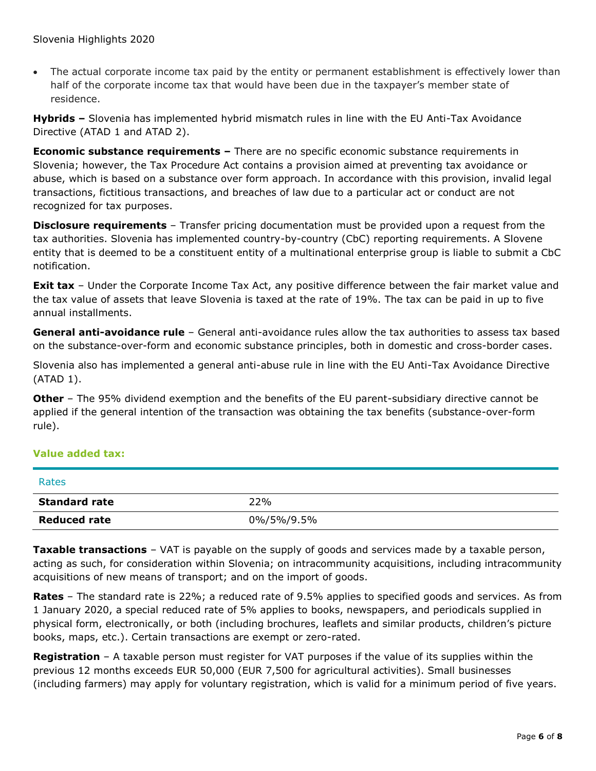• The actual corporate income tax paid by the entity or permanent establishment is effectively lower than half of the corporate income tax that would have been due in the taxpayer's member state of residence.

**Hybrids –** Slovenia has implemented hybrid mismatch rules in line with the EU Anti-Tax Avoidance Directive (ATAD 1 and ATAD 2).

**Economic substance requirements –** There are no specific economic substance requirements in Slovenia; however, the Tax Procedure Act contains a provision aimed at preventing tax avoidance or abuse, which is based on a substance over form approach. In accordance with this provision, invalid legal transactions, fictitious transactions, and breaches of law due to a particular act or conduct are not recognized for tax purposes.

**Disclosure requirements** – Transfer pricing documentation must be provided upon a request from the tax authorities. Slovenia has implemented country-by-country (CbC) reporting requirements. A Slovene entity that is deemed to be a constituent entity of a multinational enterprise group is liable to submit a CbC notification.

**Exit tax** – Under the Corporate Income Tax Act, any positive difference between the fair market value and the tax value of assets that leave Slovenia is taxed at the rate of 19%. The tax can be paid in up to five annual installments.

**General anti-avoidance rule** – General anti-avoidance rules allow the tax authorities to assess tax based on the substance-over-form and economic substance principles, both in domestic and cross-border cases.

Slovenia also has implemented a general anti-abuse rule in line with the EU Anti-Tax Avoidance Directive (ATAD 1).

**Other** – The 95% dividend exemption and the benefits of the EU parent-subsidiary directive cannot be applied if the general intention of the transaction was obtaining the tax benefits (substance-over-form rule).

# **Value added tax:**

| Rates                |            |
|----------------------|------------|
| <b>Standard rate</b> | 22%        |
| <b>Reduced rate</b>  | 0%/5%/9.5% |

**Taxable transactions** – VAT is payable on the supply of goods and services made by a taxable person, acting as such, for consideration within Slovenia; on intracommunity acquisitions, including intracommunity acquisitions of new means of transport; and on the import of goods.

**Rates** – The standard rate is 22%; a reduced rate of 9.5% applies to specified goods and services. As from 1 January 2020, a special reduced rate of 5% applies to books, newspapers, and periodicals supplied in physical form, electronically, or both (including brochures, leaflets and similar products, children's picture books, maps, etc.). Certain transactions are exempt or zero-rated.

**Registration** – A taxable person must register for VAT purposes if the value of its supplies within the previous 12 months exceeds EUR 50,000 (EUR 7,500 for agricultural activities). Small businesses (including farmers) may apply for voluntary registration, which is valid for a minimum period of five years.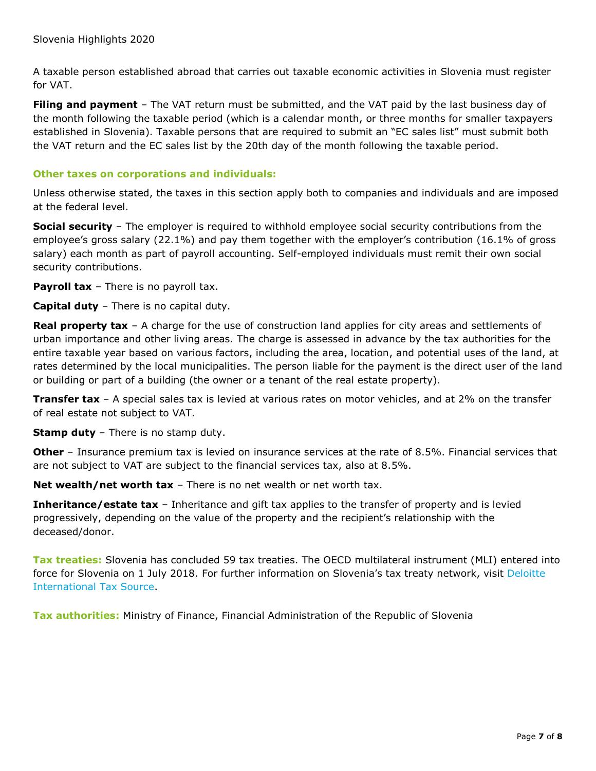A taxable person established abroad that carries out taxable economic activities in Slovenia must register for VAT.

**Filing and payment** – The VAT return must be submitted, and the VAT paid by the last business day of the month following the taxable period (which is a calendar month, or three months for smaller taxpayers established in Slovenia). Taxable persons that are required to submit an "EC sales list" must submit both the VAT return and the EC sales list by the 20th day of the month following the taxable period.

## **Other taxes on corporations and individuals:**

Unless otherwise stated, the taxes in this section apply both to companies and individuals and are imposed at the federal level.

**Social security** – The employer is required to withhold employee social security contributions from the employee's gross salary (22.1%) and pay them together with the employer's contribution (16.1% of gross salary) each month as part of payroll accounting. Self-employed individuals must remit their own social security contributions.

**Payroll tax** – There is no payroll tax.

**Capital duty** – There is no capital duty.

**Real property tax** – A charge for the use of construction land applies for city areas and settlements of urban importance and other living areas. The charge is assessed in advance by the tax authorities for the entire taxable year based on various factors, including the area, location, and potential uses of the land, at rates determined by the local municipalities. The person liable for the payment is the direct user of the land or building or part of a building (the owner or a tenant of the real estate property).

**Transfer tax** – A special sales tax is levied at various rates on motor vehicles, and at 2% on the transfer of real estate not subject to VAT.

**Stamp duty** – There is no stamp duty.

**Other** – Insurance premium tax is levied on insurance services at the rate of 8.5%. Financial services that are not subject to VAT are subject to the financial services tax, also at 8.5%.

**Net wealth/net worth tax** – There is no net wealth or net worth tax.

**Inheritance/estate tax** – Inheritance and gift tax applies to the transfer of property and is levied progressively, depending on the value of the property and the recipient's relationship with the deceased/donor.

**Tax treaties:** Slovenia has concluded 59 tax treaties. The OECD multilateral instrument (MLI) entered into force for Slovenia on 1 July 2018. For further information on Slovenia's tax treaty network, visit [Deloitte](https://www.dits.deloitte.com/#Jurisdiction/94)  [International Tax Source.](https://www.dits.deloitte.com/#Jurisdiction/94)

**Tax authorities:** Ministry of Finance, Financial Administration of the Republic of Slovenia